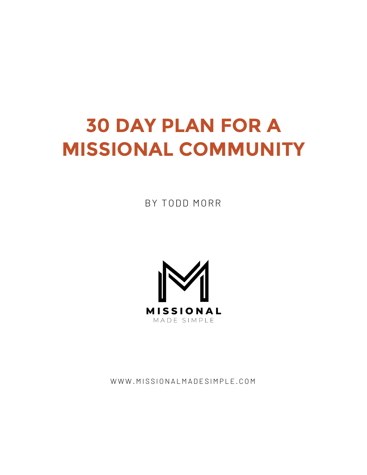# **30 DAY PLAN FOR A MISSIONAL COMMUNITY**

BY TODD MORR



WWW.MISSIONALMADESIMPLE.COM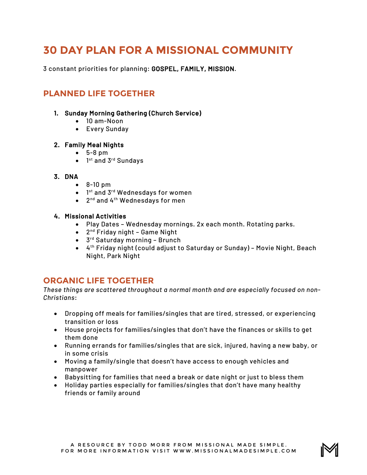# **30 DAY PLAN FOR A MISSIONAL COMMUNITY**

3 constant priorities for planning: GOSPEL, FAMILY, MISSION.

# **PLANNED LIFE TOGETHER**

#### 1. Sunday Morning Gathering (Church Service)

- 10 am-Noon
- Every Sunday

#### 2. Family Meal Nights

- 5-8 pm
- $\bullet$  1<sup>st</sup> and 3<sup>rd</sup> Sundays

#### 3. DNA

- 8-10 pm
- 1<sup>st</sup> and 3<sup>rd</sup> Wednesdays for women
- 2nd and 4th Wednesdays for men

#### 4. Missional Activities

- Play Dates Wednesday mornings. 2x each month. Rotating parks.
- $\bullet$  2<sup>nd</sup> Friday night Game Night
- 3<sup>rd</sup> Saturday morning Brunch
- 4th Friday night (could adjust to Saturday or Sunday) Movie Night, Beach Night, Park Night

### **ORGANIC LIFE TOGETHER**

*These things are scattered throughout a normal month and are especially focused on non-Christians*:

- Dropping off meals for families/singles that are tired, stressed, or experiencing transition or loss
- House projects for families/singles that don't have the finances or skills to get them done
- Running errands for families/singles that are sick, injured, having a new baby, or in some crisis
- Moving a family/single that doesn't have access to enough vehicles and manpower
- Babysitting for families that need a break or date night or just to bless them
- Holiday parties especially for families/singles that don't have many healthy friends or family around